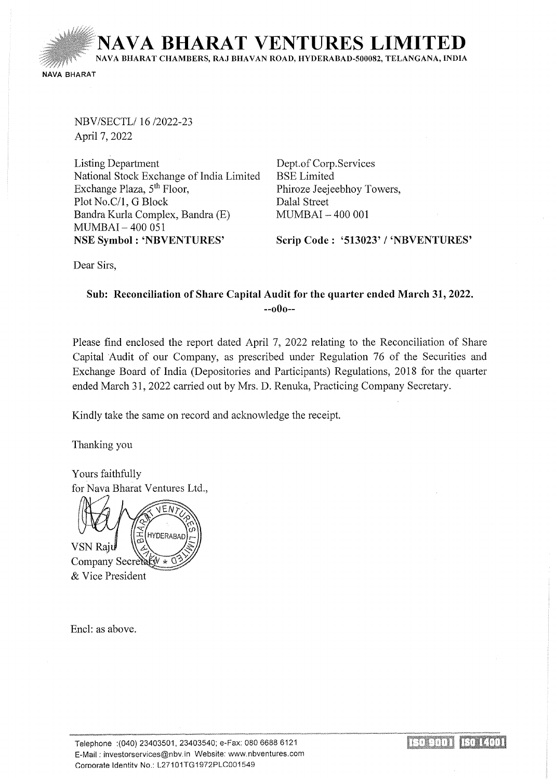**NAVA BHARAT VENTURES LIMIT** NAVA BHARAT CHAMBERS, RAJ BHAVAN ROAD, HYDERABAD-500082, TELANGANA, INDIA NAVA BHARAT

NBV/SECTL/ 16/2022-23 April 7, 2022

Listing Department National Stock Exchange of India Limited Exchange Plaza, 5<sup>th</sup> Floor, Plot No.C/1, G Block Bandra Kurla Complex, Bandra (E) MUMBAI- 400 051 NSE Symbol : 'NBVENTURES'

Dept. of Corp.Services BSE Limited Phiroze Jeejeebhoy Towers, Dalal Street MUMBAI - 400 001

Scrip Code: '513023' / 'NBVENTURES'

Dear Sirs,

# Sub: Reconciliation of Share Capital Audit for the quarter ended March 31, 2022. --oOo--

Please find enclosed the report dated April 7, 2022 relating to the Reconciliation of Share Capital Audit of our Company, as prescribed under Regulation 76 of the Securities and Exchange Board of India (Depositories and Participants) Regulations, 2018 for the quarter ended March 31, 2022 carried out by Mrs. D. Renuka, Practicing Company Secretary.

Kindly take the same on record and acknowledge the receipt.

Thanking you

Yours faithfully for Nava Bharat Ventures Ltd.,

VEN **HYDERABAI** VSN Raju Company Secretary & Vice President

Encl: as above.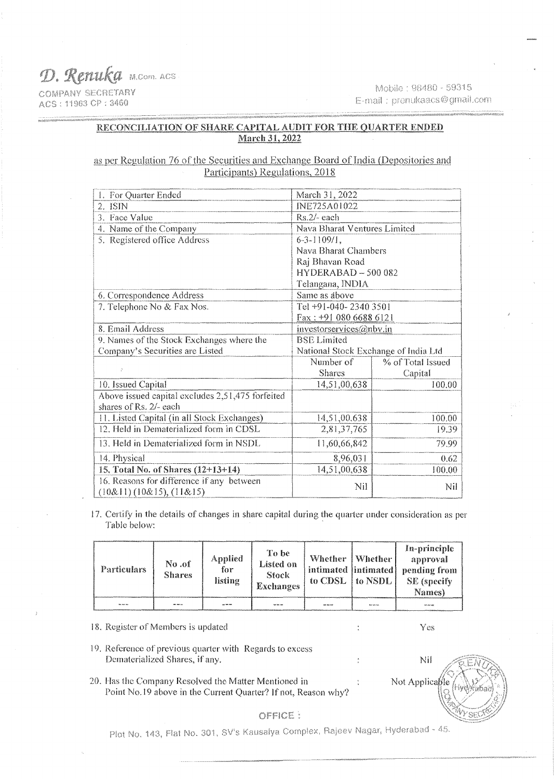D. Renuka M.com. ACS **COMPANY SECRETARY** 

ACS: 11963 CP: 3460

Mobile: 98480 - 59315 E-mail: prenukaacs@gmail.com

### RECONCILIATION OF SHARE CAPITAL AUDIT FOR THE QUARTER ENDED **March 31, 2022**

## as per Regulation 76 of the Securities and Exchange Board of India (Depositories and Participants) Regulations, 2018

| 1. For Quarter Ended                                                       | March 31, 2022                       |                   |  |  |
|----------------------------------------------------------------------------|--------------------------------------|-------------------|--|--|
| 2. ISIN                                                                    | INE725A01022                         |                   |  |  |
| 3. Face Value                                                              | $Rs.2/-$ each                        |                   |  |  |
| 4. Name of the Company                                                     | Nava Bharat Ventures Limited         |                   |  |  |
| 5. Registered office Address                                               | $6 - 3 - 1109/1$ ,                   |                   |  |  |
|                                                                            | Nava Bharat Chambers                 |                   |  |  |
|                                                                            | Raj Bhavan Road                      |                   |  |  |
|                                                                            | $HYDERABAD - 500082$                 |                   |  |  |
|                                                                            | Telangana, INDIA                     |                   |  |  |
| 6. Correspondence Address                                                  | Same as above                        |                   |  |  |
| 7. Telephone No & Fax Nos.                                                 | Tel +91-040-2340 3501                |                   |  |  |
|                                                                            | Fax: +91 080 6688 6121               |                   |  |  |
| 8. Email Address                                                           | investorservices@nbv.in              |                   |  |  |
| 9. Names of the Stock Exchanges where the                                  | <b>BSE Limited</b>                   |                   |  |  |
| Company's Securities are Listed                                            | National Stock Exchange of India Ltd |                   |  |  |
|                                                                            | Number of                            | % of Total Issued |  |  |
|                                                                            | <b>Shares</b>                        | Capital           |  |  |
| 10. Issued Capital                                                         | 14,51,00,638                         | 100.00            |  |  |
| Above issued capital excludes 2,51,475 forfeited<br>shares of Rs. 2/- each |                                      |                   |  |  |
| 11. Listed Capital (in all Stock Exchanges)                                | 14,51,00,638                         | 100.00            |  |  |
| 12. Held in Dematerialized form in CDSL                                    | 2,81,37,765                          | 19.39             |  |  |
|                                                                            |                                      |                   |  |  |
| 13. Held in Dematerialized form in NSDL                                    | 11,60,66,842                         | 79.99             |  |  |
| 14. Physical                                                               | 8,96,031                             | 0.62              |  |  |
| 15. Total No. of Shares (12+13+14)                                         | 14,51,00,638                         | 100.00            |  |  |
| 16. Reasons for difference if any between<br>(10&11)(10&15), (11&15)       | Nil                                  | Nil               |  |  |

17. Certify in the details of changes in share capital during the quarter under consideration as per Table below:

| <b>Particulars</b> | No <sub>o</sub> f<br><b>Shares</b> | Applied<br>for<br>listing | To be<br>Listed on<br><b>Stock</b><br><b>Exchanges</b> | Whether   Whether<br>intimated  intimated <br>to CDSL | to NSDL_              | In-principle<br>approval<br>pending from<br>SE (specify)<br>Names) |
|--------------------|------------------------------------|---------------------------|--------------------------------------------------------|-------------------------------------------------------|-----------------------|--------------------------------------------------------------------|
| <b>GOL GOL SAL</b> | <b>AND AND LOW</b>                 | son 709 500               | <b>NA 906 800</b>                                      | <b>State Avenue and</b>                               | <b>Blue hole hole</b> | NY AV AV                                                           |

18. Register of Members is updated

### 19. Reference of previous quarter with Regards to excess Dematerialized Shares, if any.

20. Has the Company Resolved the Matter Mentioned in  $\ddot{\cdot}$ Point No.19 above in the Current Quarter? If not, Reason why?

Nil Not Applicable

## OFFICE:

Plot No. 143, Flat No. 301, SV's Kausalya Complex, Rajeev Nagar, Hyderabad - 45.

Yes

 $\ddot{\cdot}$